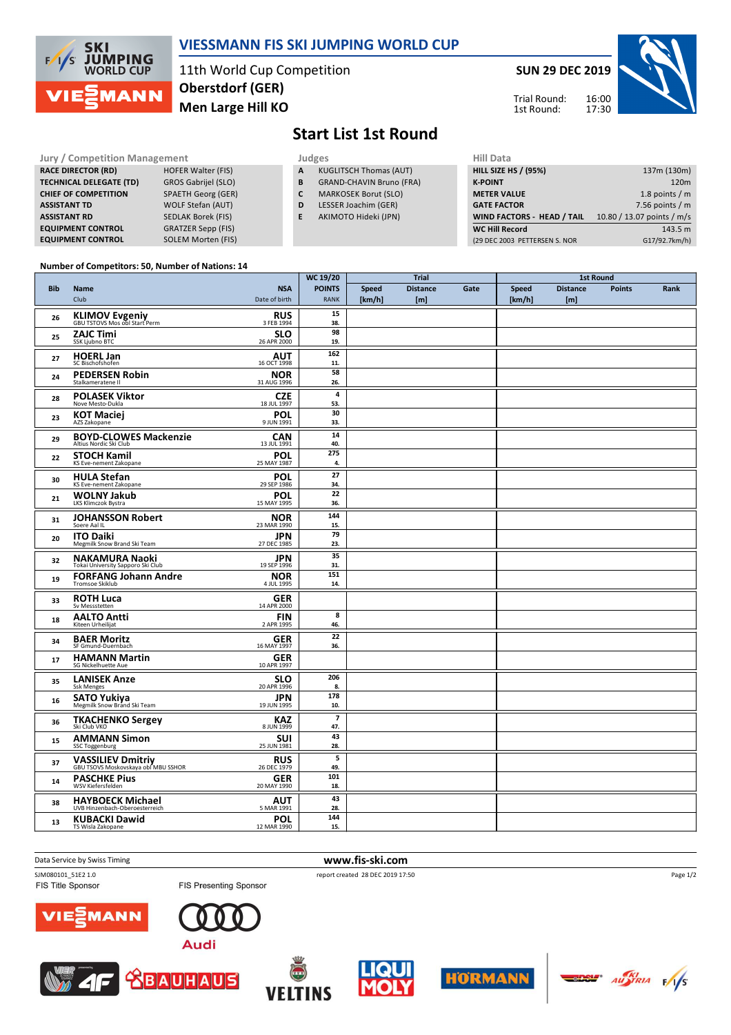

## **VIESSMANN FIS SKI JUMPING WORLD CUP**

11th World Cup Competition **Men Large Hill KO Oberstdorf (GER)**

**SUN 29 DEC 2019**

Trial Round: 1st Round:

16:00 17:30



**Start List 1st Round**

| <b>Jury / Competition Management</b> |                            |              | Judges | <b>Hill Dat</b>                 |                  |
|--------------------------------------|----------------------------|--------------|--------|---------------------------------|------------------|
| <b>RACE DIRECTOR (RD)</b>            | <b>HOFER Walter (FIS)</b>  | $\mathbf{A}$ |        | <b>KUGLITSCH Thomas (AUT)</b>   | <b>HILL SIZE</b> |
| <b>TECHNICAL DELEGATE (TD)</b>       | <b>GROS Gabrijel (SLO)</b> | B            |        | <b>GRAND-CHAVIN Bruno (FRA)</b> | <b>K-POINT</b>   |
| <b>CHIEF OF COMPETITION</b>          | <b>SPAETH Georg (GER)</b>  | C            |        | <b>MARKOSEK Borut (SLO)</b>     | <b>METER V</b>   |
| <b>ASSISTANT TD</b>                  | <b>WOLF Stefan (AUT)</b>   | D            |        | LESSER Joachim (GER)            | <b>GATE FAC</b>  |
| <b>ASSISTANT RD</b>                  | <b>SEDLAK Borek (FIS)</b>  | E            |        | AKIMOTO Hideki (JPN)            | <b>WIND FA</b>   |
| <b>EQUIPMENT CONTROL</b>             | <b>GRATZER Sepp (FIS)</b>  |              |        |                                 | <b>WC Hill R</b> |
| <b>EQUIPMENT CONTROL</b>             | <b>SOLEM Morten (FIS)</b>  |              |        |                                 | (29 DEC 20       |

- **A** KUGLITSCH Thomas (AUT)
- **B** GRAND-CHAVIN Bruno (FRA)
- **C** MARKOSEK Borut (SLO)
- **D** LESSER Joachim (GER)
- **E** AKIMOTO Hideki (JPN)

| (29 DEC 2003 PETTERSEN S. NOR | G17/92.7km/h)              |
|-------------------------------|----------------------------|
| <b>WC Hill Record</b>         | 143.5 m                    |
| WIND FACTORS - HEAD / TAIL    | 10.80 / 13.07 points / m/s |
| <b>GATE FACTOR</b>            | 7.56 points $/m$           |
| <b>METER VALUE</b>            | 1.8 points $/m$            |
| <b>K-POINT</b>                | 120 <sub>m</sub>           |
| <b>HILL SIZE HS / (95%)</b>   | 137m (130m)                |
| нш рата                       |                            |

## **Number of Competitors: 50, Number of Nations: 14**

|            |                                                                 |                                        | WC 19/20                        |                        | Trial                   |      | <b>1st Round</b>       |                         |               |      |
|------------|-----------------------------------------------------------------|----------------------------------------|---------------------------------|------------------------|-------------------------|------|------------------------|-------------------------|---------------|------|
| <b>Bib</b> | Name<br>Club                                                    | <b>NSA</b><br>Date of birth            | <b>POINTS</b><br><b>RANK</b>    | <b>Speed</b><br>[km/h] | <b>Distance</b><br>[ml] | Gate | <b>Speed</b><br>[km/h] | <b>Distance</b><br>[ml] | <b>Points</b> | Rank |
| 26         | <b>KLIMOV Evgeniy</b><br>GBU TSTOVS Mos obl Start Perm          | <b>RUS</b><br>3 FEB 1994               | 15<br>38.                       |                        |                         |      |                        |                         |               |      |
| 25         | <b>ZAJC Timi</b><br>SSK Ljubno BTC                              | <b>SLO</b><br>26 APR 2000              | 98<br>19.                       |                        |                         |      |                        |                         |               |      |
| 27         | <b>HOERL Jan</b><br>SC Bischofshofen                            | $\overline{\text{AUT}}$<br>16 OCT 1998 | 162<br>11.                      |                        |                         |      |                        |                         |               |      |
| 24         | <b>PEDERSEN Robin</b><br>Stalkameratene II                      | <b>NOR</b><br>31 AUG 1996              | 58<br>26.                       |                        |                         |      |                        |                         |               |      |
| 28         | <b>POLASEK Viktor</b><br>Nove Mesto-Dukla                       | <b>CZE</b><br>18 JUL 1997              | $\overline{4}$<br>53.           |                        |                         |      |                        |                         |               |      |
| 23         | <b>KOT Maciej</b><br>AZS Zakopane                               | <b>POL</b><br>9 JUN 1991               | 30<br>33.                       |                        |                         |      |                        |                         |               |      |
| 29         | <b>BOYD-CLOWES Mackenzie</b><br>Altius Nordic Ski Club          | <b>CAN</b><br>13 JUL 1991              | 14<br>40.                       |                        |                         |      |                        |                         |               |      |
| 22         | <b>STOCH Kamil</b><br>KS Eve-nement Zakopane                    | <b>POL</b><br>25 MAY 1987              | 275<br>4.                       |                        |                         |      |                        |                         |               |      |
| 30         | <b>HULA Stefan</b><br>KS Eve-nement Zakopane                    | <b>POL</b><br>29 SEP 1986              | 27<br>34.                       |                        |                         |      |                        |                         |               |      |
| 21         | <b>WOLNY Jakub</b><br>LKS Klimczok Bystra                       | <b>POL</b><br>15 MAY 1995              | 22<br>36.                       |                        |                         |      |                        |                         |               |      |
| 31         | <b>JOHANSSON Robert</b><br>Soere Aal IL                         | <b>NOR</b><br>23 MAR 1990              | 144<br>15.                      |                        |                         |      |                        |                         |               |      |
| 20         | <b>ITO Daiki</b><br>Megmilk Snow Brand Ski Team                 | JPN<br>27 DEC 1985                     | 79<br>23.                       |                        |                         |      |                        |                         |               |      |
| 32         | <b>NAKAMURA Naoki</b><br>Tokai University Sapporo Ski Club      | <b>JPN</b><br>19 SEP 1996              | 35<br>31.                       |                        |                         |      |                        |                         |               |      |
| 19         | <b>FORFANG Johann Andre</b><br>Tromsoe Skiklub                  | <b>NOR</b><br>4 JUL 1995               | 151<br>14.                      |                        |                         |      |                        |                         |               |      |
| 33         | <b>ROTH Luca</b><br>Sv Messstetten                              | <b>GER</b><br>14 APR 2000              |                                 |                        |                         |      |                        |                         |               |      |
| 18         | <b>AALTO Antti</b><br>Kiteen Urheilijat                         | <b>FIN</b><br>2 APR 1995               | 8<br>46.                        |                        |                         |      |                        |                         |               |      |
| 34         | <b>BAER Moritz</b><br>SF Gmund-Duernbach                        | <b>GER</b><br>16 MAY 1997              | 22<br>36.                       |                        |                         |      |                        |                         |               |      |
| 17         | <b>HAMANN Martin</b><br>SG Nickelhuette Aue                     | <b>GER</b><br>10 APR 1997              |                                 |                        |                         |      |                        |                         |               |      |
| 35         | <b>LANISEK Anze</b><br><b>Ssk Menges</b>                        | <b>SLO</b><br>20 APR 1996              | 206<br>8.                       |                        |                         |      |                        |                         |               |      |
| 16         | <b>SATO Yukiya</b><br>Megmilk Snow Brand Ski Team               | <b>JPN</b><br>19 JUN 1995              | 178<br>10.                      |                        |                         |      |                        |                         |               |      |
| 36         | <b>TKACHENKO Sergey</b><br>Ski Club VKO                         | <b>KAZ</b><br>8 JUN 1999               | $\overline{\phantom{a}}$<br>47. |                        |                         |      |                        |                         |               |      |
| 15         | <b>AMMANN Simon</b><br><b>SSC Toggenburg</b>                    | <b>SUI</b><br>25 JUN 1981              | 43<br>28.                       |                        |                         |      |                        |                         |               |      |
| 37         | <b>VASSILIEV Dmitriy</b><br>GBU TSOVS Moskovskaya obl MBU SSHOR | <b>RUS</b><br>26 DEC 1979              | 5<br>49.                        |                        |                         |      |                        |                         |               |      |
| 14         | <b>PASCHKE Pius</b><br>WSV Kiefersfelden                        | <b>GER</b><br>20 MAY 1990              | 101<br>18.                      |                        |                         |      |                        |                         |               |      |
| 38         | <b>HAYBOECK Michael</b><br>UVB Hinzenbach-Oberoesterreich       | <b>AUT</b><br>5 MAR 1991               | 43<br>28.                       |                        |                         |      |                        |                         |               |      |
| 13         | <b>KUBACKI Dawid</b><br>TS Wisla Zakopane                       | <b>POL</b><br>12 MAR 1990              | 144<br>15.                      |                        |                         |      |                        |                         |               |      |

Data Service by Swiss Timing **www.fis-ski.com**

SJM080101\_51E2 1.0 report created 28 DEC 2019 17:50 FIS Presenting Sponsor















Page 1/2